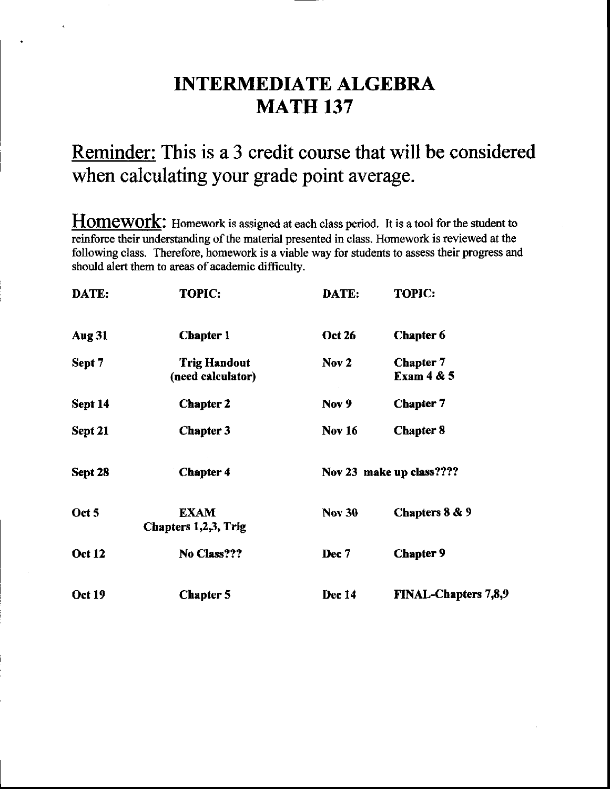# INTERMEDIATE ALGEBRA MATH 137

# Reminder: This is a 3 credit course that will be considered when calculating your grade point average.

Homework: Homework is assigned at each class period. It is a tool for the student to reinforce their understanding of the material presented in class. Homework is reviewed at the following class, Therefore, homework is a viable way for students to assess their progress and should alert them to areas of academic difficulty.

| DATE:         | <b>TOPIC:</b>                            | DATE:         | <b>TOPIC:</b>               |
|---------------|------------------------------------------|---------------|-----------------------------|
| <b>Aug 31</b> | <b>Chapter 1</b>                         | <b>Oct 26</b> | <b>Chapter 6</b>            |
| Sept 7        | <b>Trig Handout</b><br>(need calculator) | Nov 2         | Chapter 7<br>Exam $4 & 5$   |
| Sept 14       | <b>Chapter 2</b>                         | Nov 9         | <b>Chapter 7</b>            |
| Sept 21       | <b>Chapter 3</b>                         | <b>Nov 16</b> | <b>Chapter 8</b>            |
| Sept 28       | <b>Chapter 4</b>                         |               | Nov 23 make up class????    |
| Oct 5         | <b>EXAM</b><br>Chapters 1,2,3, Trig      | <b>Nov 30</b> | Chapters 8 & 9              |
| <b>Oct 12</b> | No Class???                              | Dec 7         | <b>Chapter 9</b>            |
| <b>Oct 19</b> | <b>Chapter 5</b>                         | Dec 14        | <b>FINAL-Chapters 7,8,9</b> |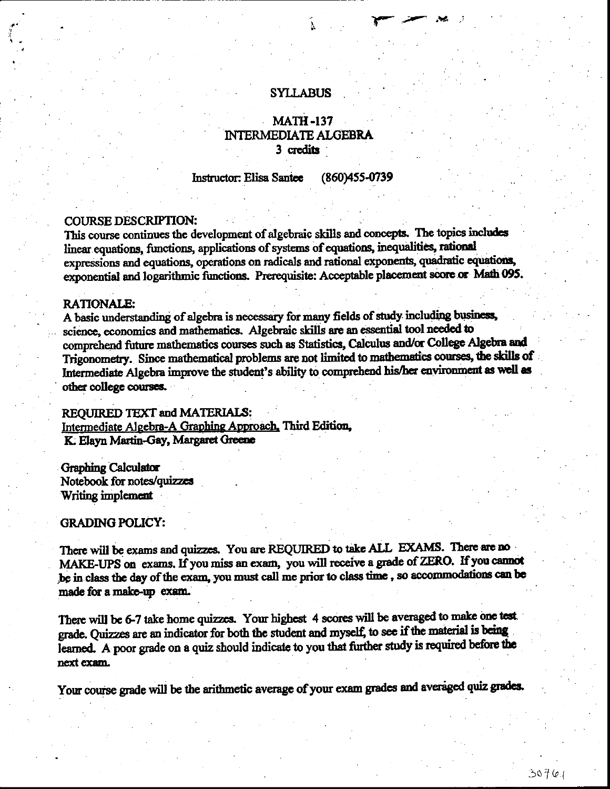### **SYLLABUS**

### **MATH-137 INTERMEDIATE ALGEBRA** 3 credits

Instructor: Elisa Santee (860)455-0739

### **COURSE DESCRIPTION:**

This course continues the development of algebraic skills and concepts. The topics includes linear equations, functions, applications of systems of equations, inequalities, rational expressions and equations, operations on radicals and rational exponents, quadratic equations, exponential and logarithmic functions. Prerequisite: Acceptable placement score or Math 095.

#### **RATIONALE:**

A basic understanding of algebra is necessary for many fields of study including business, science, economics and mathematics. Algebraic skills are an essential tool needed to comprehend future mathematics courses such as Statistics, Calculus and/or College Algebra and Trigonometry. Since mathematical problems are not limited to mathematics courses, the skills of Intermediate Algebra improve the student's ability to comprehend his/her environment as well as other college courses.

#### REQUIRED TEXT and MATERIALS:

Intermediate Algebra-A Graphing Approach. Third Edition, K. Elayn Martin-Gay, Margaret Greene

**Graphing Calculator** Notebook for notes/quizzes Writing implement

#### **GRADING POLICY:**

There will be exams and quizzes. You are REQUIRED to take ALL EXAMS. There are no MAKE-UPS on exams. If you miss an exam, you will receive a grade of ZERO. If you cannot be in class the day of the exam, you must call me prior to class time, so accommodations can be made for a make-up exam.

There will be 6-7 take home quizzes. Your highest 4 scores will be averaged to make one test. grade. Quizzes are an indicator for both the student and myself, to see if the material is being learned. A poor grade on a quiz should indicate to you that further study is required before the next exam.

Your course grade will be the arithmetic average of your exam grades and averaged quiz grades.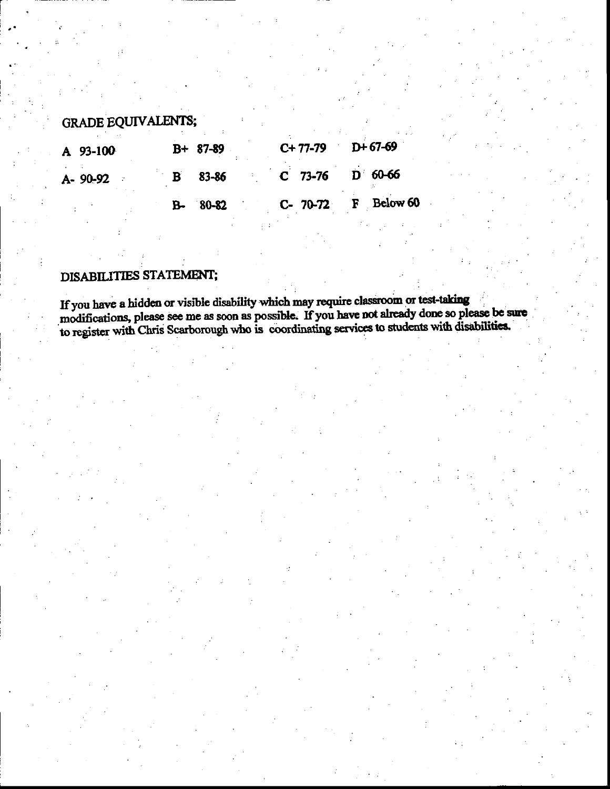# **GRADE EQUIVALENTS;**

| A 93-100 | B+ 87-89       |  | $C+77-79$ D+67-69 |                     |
|----------|----------------|--|-------------------|---------------------|
| A-90-92  | <b>B</b> 83-86 |  | $C$ 73-76 D 60-66 |                     |
|          | $B - 80 - 82$  |  |                   | C- 70-72 F Below 60 |

## DISABILITIES STATEMENT;

If you have a hidden or visible disability which may require classroom or test-taking modifications, please see me as soon as possible. If you have not already done so please be sure to register with Chris Scarborough who is coordinating services to students with disabilities.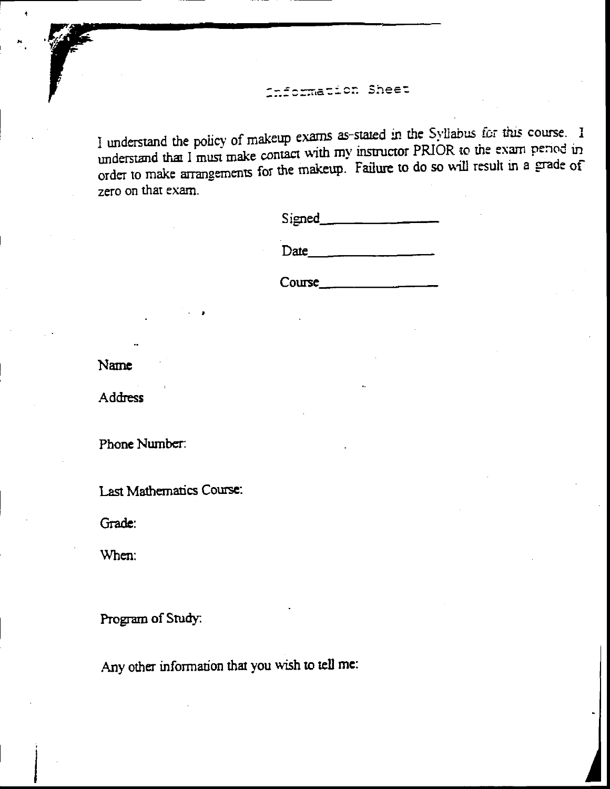## formation Sheet

I understand the policy of makeup exams as-stated in the Syllabus for this course. I understand that I must make contact with my instructor PRIOR to the exam period in order to make arrangements for the makeup. Failure to do so will result in a grade of zero on that exam.

| Signed |  |
|--------|--|
|        |  |

Date

Course

Name

Address

Phone Number:

Last Mathematics Course:

Grade:

When:

Program of Study:

Any other information that you wish to tell me: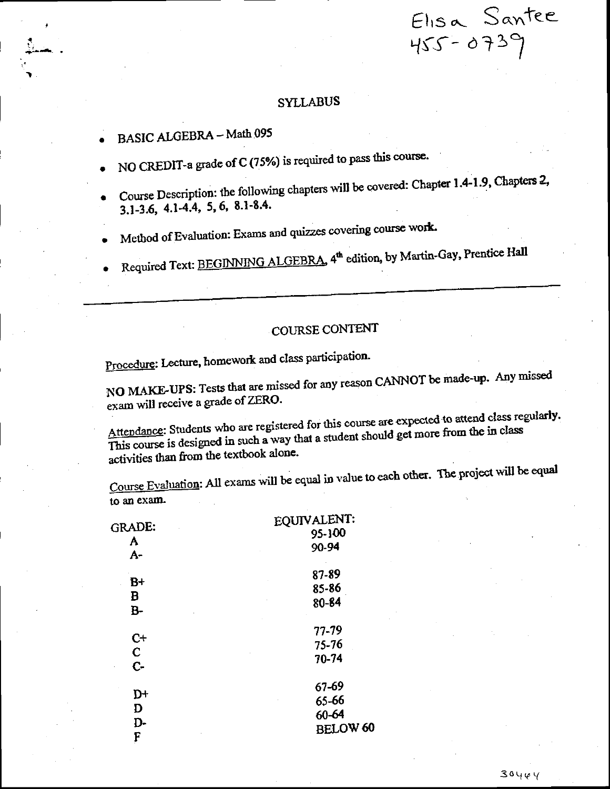### **SYLLABUS**

- BASIC ALGEBRA Math 095
- NO CREDIT-a grade of C (75%) is required to pass this course.
- Course Description: the following chapters will be covered: Chapter 1.4-1.9, Chapters 2,  $3.1-3.6$ ,  $4.1-4.4$ , 5, 6, 8.1-8.4.
- Method of Evaluation: Exams and quizzes covering course work.
- Required Text: BEGINNING ALGEBRA, 4th edition, by Martin-Gay, Prentice Hall

# COURSE CONTENT

Procedure: Lecture, homework and class participation.

NO MAKE-UPS: Tests that are missed for any reason CANNOT be made-up. Any missed exam will receive a grade of ZERO.

Attendance: Students who are registered for this course are expected to attend class regularly. This course is designed in such a way that a student should get more from the in class activities than from the textbook alone.

Course Evaluation: All exams will be equal in value to each other. The project will be equal to an exam.

|                      | EQUIVALENT:     |
|----------------------|-----------------|
| <b>GRADE:</b>        | 95-100          |
| A<br>A-              | 90-94           |
| $B+$                 | 87-89           |
|                      | 85-86           |
| B<br><b>B-</b>       | 80-84           |
|                      | 77-79           |
| $C+$                 | 75-76           |
| $\mathbf{C}$<br>$C-$ | 70-74           |
|                      | 67-69           |
| D+                   | 65-66           |
| D                    | $60 - 64$       |
| D-                   | <b>BELOW 60</b> |
| С                    |                 |

Elisa Santee

455-0739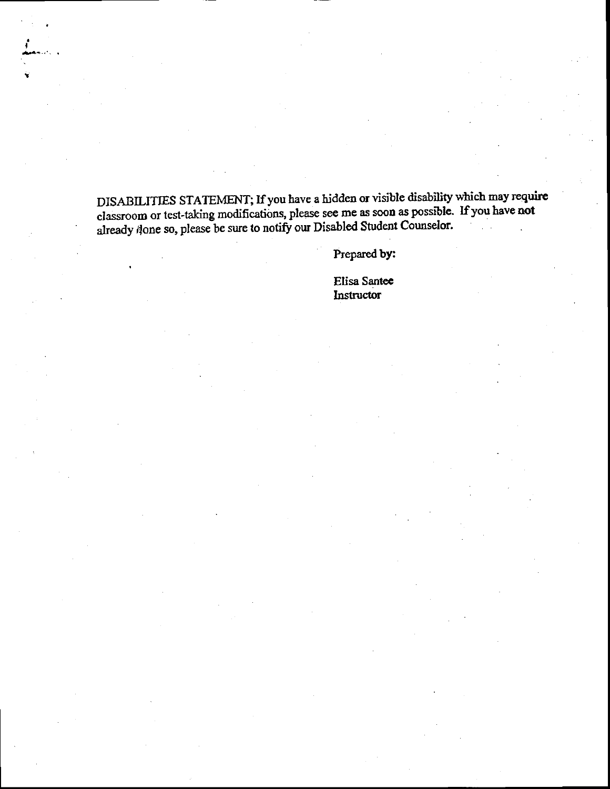DISABILITIES STATEMENT; If you have a hidden or visible disability which may require classroom or test-taking modifications, please see me as soon as possible. If you have not already done so, please be sure to notify our Disabled Student Counselor.

Prepared by:

Elisa Santee Instructor